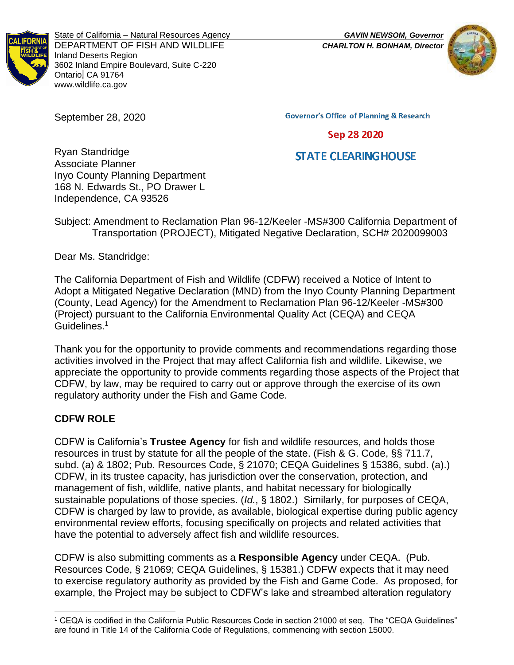

State of California – Natural Resources Agency *GAVIN NEWSOM, Governor* DEPARTMENT OF FISH AND WILDLIFE *CHARLTON H. BONHAM, Director* Inland Deserts Region 3602 Inland Empire Boulevard, Suite C-220 Ontario, CA 91764 www.wildlife.ca.gov



September 28, 2020

**Governor's Office of Planning & Research** 

#### Sep 28 2020

# **STATE CLEARING HOUSE**

Ryan Standridge Associate Planner Inyo County Planning Department 168 N. Edwards St., PO Drawer L Independence, CA 93526

Subject: Amendment to Reclamation Plan 96-12/Keeler -MS#300 California Department of Transportation (PROJECT), Mitigated Negative Declaration, SCH# 2020099003

Dear Ms. Standridge:

The California Department of Fish and Wildlife (CDFW) received a Notice of Intent to Adopt a Mitigated Negative Declaration (MND) from the Inyo County Planning Department (County, Lead Agency) for the Amendment to Reclamation Plan 96-12/Keeler -MS#300 (Project) pursuant to the California Environmental Quality Act (CEQA) and CEQA Guidelines.<sup>1</sup>

Thank you for the opportunity to provide comments and recommendations regarding those activities involved in the Project that may affect California fish and wildlife. Likewise, we appreciate the opportunity to provide comments regarding those aspects of the Project that CDFW, by law, may be required to carry out or approve through the exercise of its own regulatory authority under the Fish and Game Code.

## **CDFW ROLE**

CDFW is California's **Trustee Agency** for fish and wildlife resources, and holds those resources in trust by statute for all the people of the state. (Fish & G. Code, §§ 711.7, subd. (a) & 1802; Pub. Resources Code, § 21070; CEQA Guidelines § 15386, subd. (a).) CDFW, in its trustee capacity, has jurisdiction over the conservation, protection, and management of fish, wildlife, native plants, and habitat necessary for biologically sustainable populations of those species. (*Id.*, § 1802.) Similarly, for purposes of CEQA, CDFW is charged by law to provide, as available, biological expertise during public agency environmental review efforts, focusing specifically on projects and related activities that have the potential to adversely affect fish and wildlife resources.

CDFW is also submitting comments as a **Responsible Agency** under CEQA. (Pub. Resources Code, § 21069; CEQA Guidelines, § 15381.) CDFW expects that it may need to exercise regulatory authority as provided by the Fish and Game Code. As proposed, for example, the Project may be subject to CDFW's lake and streambed alteration regulatory

<sup>1</sup> CEQA is codified in the California Public Resources Code in section 21000 et seq. The "CEQA Guidelines" are found in Title 14 of the California Code of Regulations, commencing with section 15000.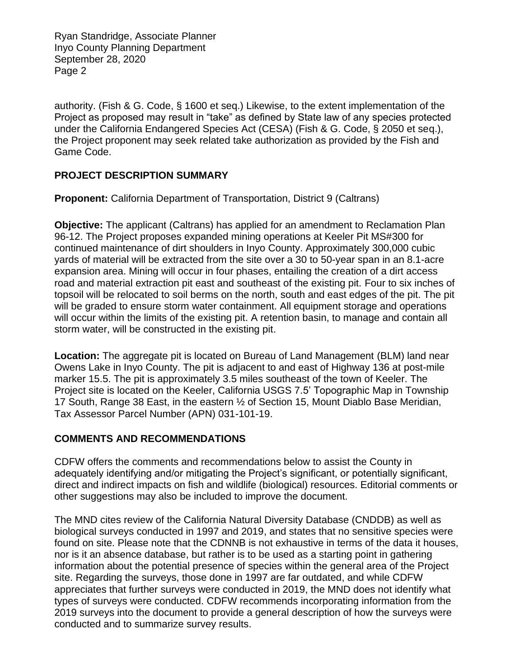Ryan Standridge, Associate Planner Inyo County Planning Department September 28, 2020 Page 2

authority. (Fish & G. Code, § 1600 et seq.) Likewise, to the extent implementation of the Project as proposed may result in "take" as defined by State law of any species protected under the California Endangered Species Act (CESA) (Fish & G. Code, § 2050 et seq.), the Project proponent may seek related take authorization as provided by the Fish and Game Code.

## **PROJECT DESCRIPTION SUMMARY**

**Proponent:** California Department of Transportation, District 9 (Caltrans)

**Objective:** The applicant (Caltrans) has applied for an amendment to Reclamation Plan 96-12. The Project proposes expanded mining operations at Keeler Pit MS#300 for continued maintenance of dirt shoulders in Inyo County. Approximately 300,000 cubic yards of material will be extracted from the site over a 30 to 50-year span in an 8.1-acre expansion area. Mining will occur in four phases, entailing the creation of a dirt access road and material extraction pit east and southeast of the existing pit. Four to six inches of topsoil will be relocated to soil berms on the north, south and east edges of the pit. The pit will be graded to ensure storm water containment. All equipment storage and operations will occur within the limits of the existing pit. A retention basin, to manage and contain all storm water, will be constructed in the existing pit.

**Location:** The aggregate pit is located on Bureau of Land Management (BLM) land near Owens Lake in Inyo County. The pit is adjacent to and east of Highway 136 at post-mile marker 15.5. The pit is approximately 3.5 miles southeast of the town of Keeler. The Project site is located on the Keeler, California USGS 7.5' Topographic Map in Township 17 South, Range 38 East, in the eastern ½ of Section 15, Mount Diablo Base Meridian, Tax Assessor Parcel Number (APN) 031-101-19.

#### **COMMENTS AND RECOMMENDATIONS**

CDFW offers the comments and recommendations below to assist the County in adequately identifying and/or mitigating the Project's significant, or potentially significant, direct and indirect impacts on fish and wildlife (biological) resources. Editorial comments or other suggestions may also be included to improve the document.

The MND cites review of the California Natural Diversity Database (CNDDB) as well as biological surveys conducted in 1997 and 2019, and states that no sensitive species were found on site. Please note that the CDNNB is not exhaustive in terms of the data it houses, nor is it an absence database, but rather is to be used as a starting point in gathering information about the potential presence of species within the general area of the Project site. Regarding the surveys, those done in 1997 are far outdated, and while CDFW appreciates that further surveys were conducted in 2019, the MND does not identify what types of surveys were conducted. CDFW recommends incorporating information from the 2019 surveys into the document to provide a general description of how the surveys were conducted and to summarize survey results.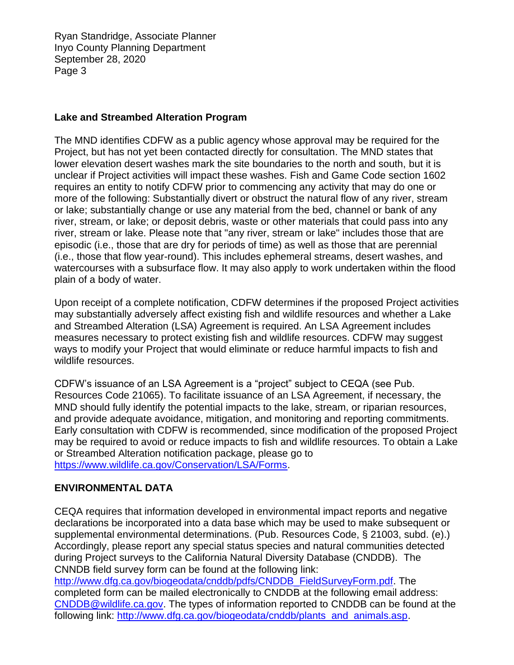Ryan Standridge, Associate Planner Inyo County Planning Department September 28, 2020 Page 3

## **Lake and Streambed Alteration Program**

The MND identifies CDFW as a public agency whose approval may be required for the Project, but has not yet been contacted directly for consultation. The MND states that lower elevation desert washes mark the site boundaries to the north and south, but it is unclear if Project activities will impact these washes. Fish and Game Code section 1602 requires an entity to notify CDFW prior to commencing any activity that may do one or more of the following: Substantially divert or obstruct the natural flow of any river, stream or lake; substantially change or use any material from the bed, channel or bank of any river, stream, or lake; or deposit debris, waste or other materials that could pass into any river, stream or lake. Please note that "any river, stream or lake" includes those that are episodic (i.e., those that are dry for periods of time) as well as those that are perennial (i.e., those that flow year-round). This includes ephemeral streams, desert washes, and watercourses with a subsurface flow. It may also apply to work undertaken within the flood plain of a body of water.

Upon receipt of a complete notification, CDFW determines if the proposed Project activities may substantially adversely affect existing fish and wildlife resources and whether a Lake and Streambed Alteration (LSA) Agreement is required. An LSA Agreement includes measures necessary to protect existing fish and wildlife resources. CDFW may suggest ways to modify your Project that would eliminate or reduce harmful impacts to fish and wildlife resources.

CDFW's issuance of an LSA Agreement is a "project" subject to CEQA (see Pub. Resources Code 21065). To facilitate issuance of an LSA Agreement, if necessary, the MND should fully identify the potential impacts to the lake, stream, or riparian resources, and provide adequate avoidance, mitigation, and monitoring and reporting commitments. Early consultation with CDFW is recommended, since modification of the proposed Project may be required to avoid or reduce impacts to fish and wildlife resources. To obtain a Lake or Streambed Alteration notification package, please go to [https://www.wildlife.ca.gov/Conservation/LSA/Forms.](https://www.wildlife.ca.gov/Conservation/LSA/Forms)

## **ENVIRONMENTAL DATA**

CEQA requires that information developed in environmental impact reports and negative declarations be incorporated into a data base which may be used to make subsequent or supplemental environmental determinations. (Pub. Resources Code, § 21003, subd. (e).) Accordingly, please report any special status species and natural communities detected during Project surveys to the California Natural Diversity Database (CNDDB). The CNNDB field survey form can be found at the following link: [http://www.dfg.ca.gov/biogeodata/cnddb/pdfs/CNDDB\\_FieldSurveyForm.pdf.](http://www.dfg.ca.gov/biogeodata/cnddb/pdfs/CNDDB_FieldSurveyForm.pdf) The completed form can be mailed electronically to CNDDB at the following email address:

[CNDDB@wildlife.ca.gov.](mailto:cnddb@dfg.ca.gov) The types of information reported to CNDDB can be found at the following link: [http://www.dfg.ca.gov/biogeodata/cnddb/plants\\_and\\_animals.asp.](http://www.dfg.ca.gov/biogeodata/cnddb/plants_and_animals.asp)